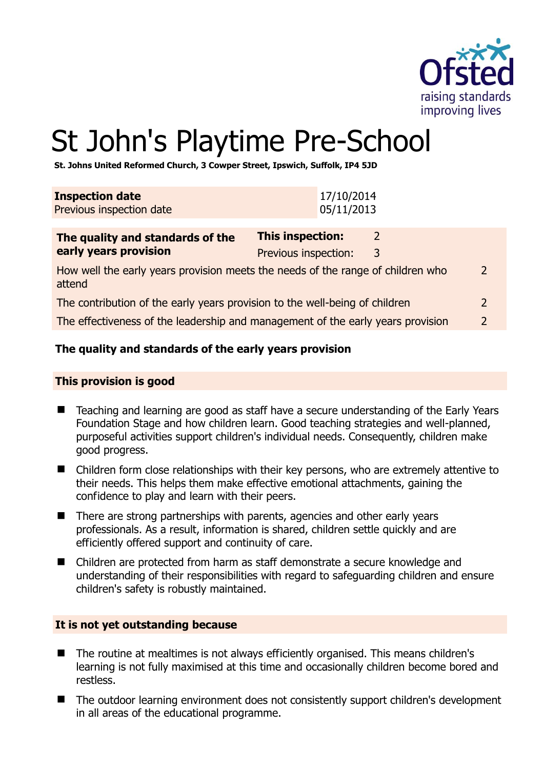

# St John's Playtime Pre-School

**St. Johns United Reformed Church, 3 Cowper Street, Ipswich, Suffolk, IP4 5JD** 

| <b>Inspection date</b><br>Previous inspection date                                        | 17/10/2014<br>05/11/2013                                       |  |
|-------------------------------------------------------------------------------------------|----------------------------------------------------------------|--|
| The quality and standards of the<br>early years provision                                 | This inspection:<br>$\mathcal{L}$<br>Previous inspection:<br>3 |  |
| How well the early years provision meets the needs of the range of children who<br>attend |                                                                |  |
| The contribution of the early years provision to the well-being of children               |                                                                |  |
| The effectiveness of the leadership and management of the early years provision           |                                                                |  |

# **The quality and standards of the early years provision**

#### **This provision is good**

- Teaching and learning are good as staff have a secure understanding of the Early Years Foundation Stage and how children learn. Good teaching strategies and well-planned, purposeful activities support children's individual needs. Consequently, children make good progress.
- Children form close relationships with their key persons, who are extremely attentive to their needs. This helps them make effective emotional attachments, gaining the confidence to play and learn with their peers.
- There are strong partnerships with parents, agencies and other early years professionals. As a result, information is shared, children settle quickly and are efficiently offered support and continuity of care.
- Children are protected from harm as staff demonstrate a secure knowledge and understanding of their responsibilities with regard to safeguarding children and ensure children's safety is robustly maintained.

# **It is not yet outstanding because**

- The routine at mealtimes is not always efficiently organised. This means children's learning is not fully maximised at this time and occasionally children become bored and restless.
- The outdoor learning environment does not consistently support children's development in all areas of the educational programme.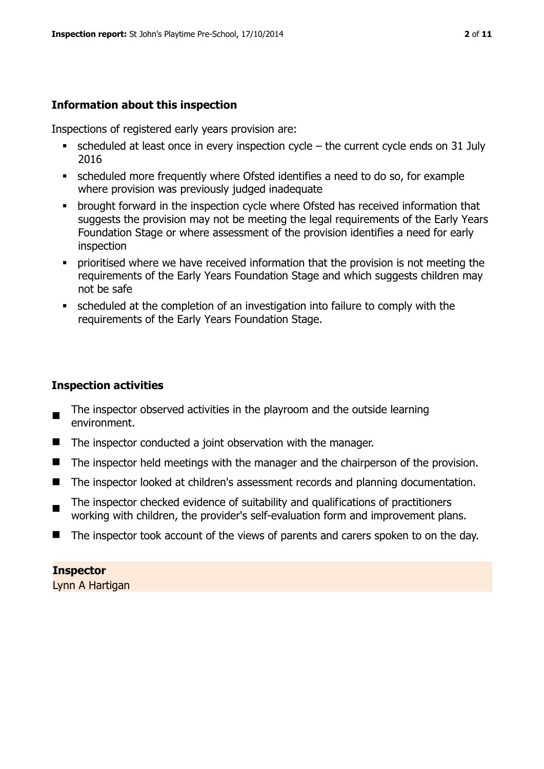# **Information about this inspection**

Inspections of registered early years provision are:

- $\bullet$  scheduled at least once in every inspection cycle the current cycle ends on 31 July 2016
- scheduled more frequently where Ofsted identifies a need to do so, for example where provision was previously judged inadequate
- **•** brought forward in the inspection cycle where Ofsted has received information that suggests the provision may not be meeting the legal requirements of the Early Years Foundation Stage or where assessment of the provision identifies a need for early inspection
- **•** prioritised where we have received information that the provision is not meeting the requirements of the Early Years Foundation Stage and which suggests children may not be safe
- scheduled at the completion of an investigation into failure to comply with the requirements of the Early Years Foundation Stage.

# **Inspection activities**

- $\blacksquare$ The inspector observed activities in the playroom and the outside learning environment.
- The inspector conducted a joint observation with the manager.
- The inspector held meetings with the manager and the chairperson of the provision.
- The inspector looked at children's assessment records and planning documentation.
- $\blacksquare$ The inspector checked evidence of suitability and qualifications of practitioners working with children, the provider's self-evaluation form and improvement plans.
- The inspector took account of the views of parents and carers spoken to on the day.

# **Inspector**

Lynn A Hartigan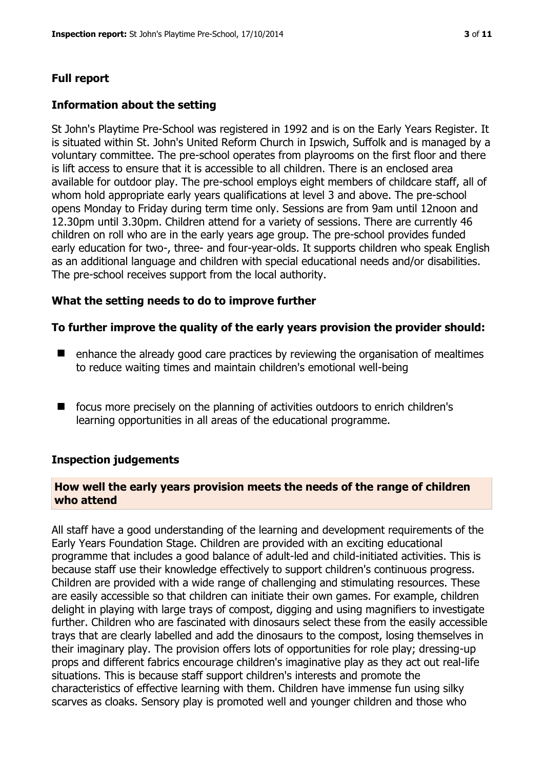# **Full report**

# **Information about the setting**

St John's Playtime Pre-School was registered in 1992 and is on the Early Years Register. It is situated within St. John's United Reform Church in Ipswich, Suffolk and is managed by a voluntary committee. The pre-school operates from playrooms on the first floor and there is lift access to ensure that it is accessible to all children. There is an enclosed area available for outdoor play. The pre-school employs eight members of childcare staff, all of whom hold appropriate early years qualifications at level 3 and above. The pre-school opens Monday to Friday during term time only. Sessions are from 9am until 12noon and 12.30pm until 3.30pm. Children attend for a variety of sessions. There are currently 46 children on roll who are in the early years age group. The pre-school provides funded early education for two-, three- and four-year-olds. It supports children who speak English as an additional language and children with special educational needs and/or disabilities. The pre-school receives support from the local authority.

#### **What the setting needs to do to improve further**

#### **To further improve the quality of the early years provision the provider should:**

- enhance the already good care practices by reviewing the organisation of mealtimes to reduce waiting times and maintain children's emotional well-being
- $\blacksquare$  focus more precisely on the planning of activities outdoors to enrich children's learning opportunities in all areas of the educational programme.

#### **Inspection judgements**

#### **How well the early years provision meets the needs of the range of children who attend**

All staff have a good understanding of the learning and development requirements of the Early Years Foundation Stage. Children are provided with an exciting educational programme that includes a good balance of adult-led and child-initiated activities. This is because staff use their knowledge effectively to support children's continuous progress. Children are provided with a wide range of challenging and stimulating resources. These are easily accessible so that children can initiate their own games. For example, children delight in playing with large trays of compost, digging and using magnifiers to investigate further. Children who are fascinated with dinosaurs select these from the easily accessible trays that are clearly labelled and add the dinosaurs to the compost, losing themselves in their imaginary play. The provision offers lots of opportunities for role play; dressing-up props and different fabrics encourage children's imaginative play as they act out real-life situations. This is because staff support children's interests and promote the characteristics of effective learning with them. Children have immense fun using silky scarves as cloaks. Sensory play is promoted well and younger children and those who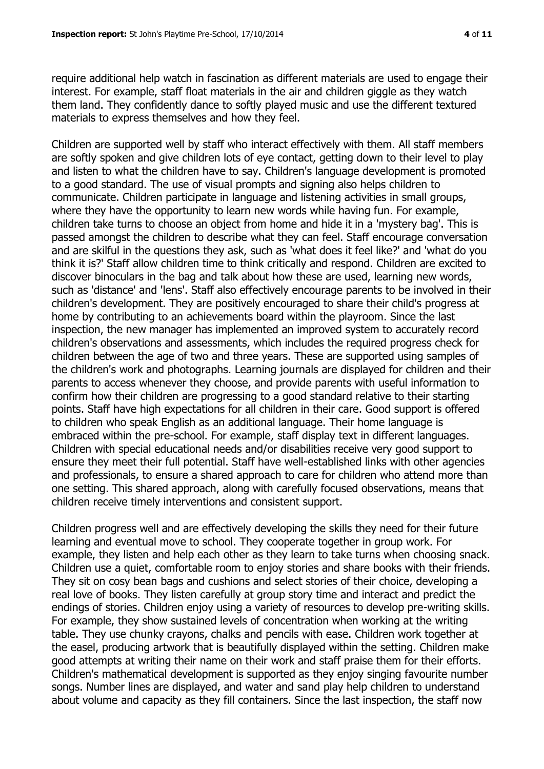materials to express themselves and how they feel.

require additional help watch in fascination as different materials are used to engage their interest. For example, staff float materials in the air and children giggle as they watch them land. They confidently dance to softly played music and use the different textured

Children are supported well by staff who interact effectively with them. All staff members are softly spoken and give children lots of eye contact, getting down to their level to play and listen to what the children have to say. Children's language development is promoted to a good standard. The use of visual prompts and signing also helps children to communicate. Children participate in language and listening activities in small groups, where they have the opportunity to learn new words while having fun. For example, children take turns to choose an object from home and hide it in a 'mystery bag'. This is passed amongst the children to describe what they can feel. Staff encourage conversation and are skilful in the questions they ask, such as 'what does it feel like?' and 'what do you think it is?' Staff allow children time to think critically and respond. Children are excited to discover binoculars in the bag and talk about how these are used, learning new words, such as 'distance' and 'lens'. Staff also effectively encourage parents to be involved in their children's development. They are positively encouraged to share their child's progress at home by contributing to an achievements board within the playroom. Since the last inspection, the new manager has implemented an improved system to accurately record children's observations and assessments, which includes the required progress check for children between the age of two and three years. These are supported using samples of the children's work and photographs. Learning journals are displayed for children and their parents to access whenever they choose, and provide parents with useful information to confirm how their children are progressing to a good standard relative to their starting points. Staff have high expectations for all children in their care. Good support is offered to children who speak English as an additional language. Their home language is embraced within the pre-school. For example, staff display text in different languages. Children with special educational needs and/or disabilities receive very good support to ensure they meet their full potential. Staff have well-established links with other agencies and professionals, to ensure a shared approach to care for children who attend more than one setting. This shared approach, along with carefully focused observations, means that children receive timely interventions and consistent support.

Children progress well and are effectively developing the skills they need for their future learning and eventual move to school. They cooperate together in group work. For example, they listen and help each other as they learn to take turns when choosing snack. Children use a quiet, comfortable room to enjoy stories and share books with their friends. They sit on cosy bean bags and cushions and select stories of their choice, developing a real love of books. They listen carefully at group story time and interact and predict the endings of stories. Children enjoy using a variety of resources to develop pre-writing skills. For example, they show sustained levels of concentration when working at the writing table. They use chunky crayons, chalks and pencils with ease. Children work together at the easel, producing artwork that is beautifully displayed within the setting. Children make good attempts at writing their name on their work and staff praise them for their efforts. Children's mathematical development is supported as they enjoy singing favourite number songs. Number lines are displayed, and water and sand play help children to understand about volume and capacity as they fill containers. Since the last inspection, the staff now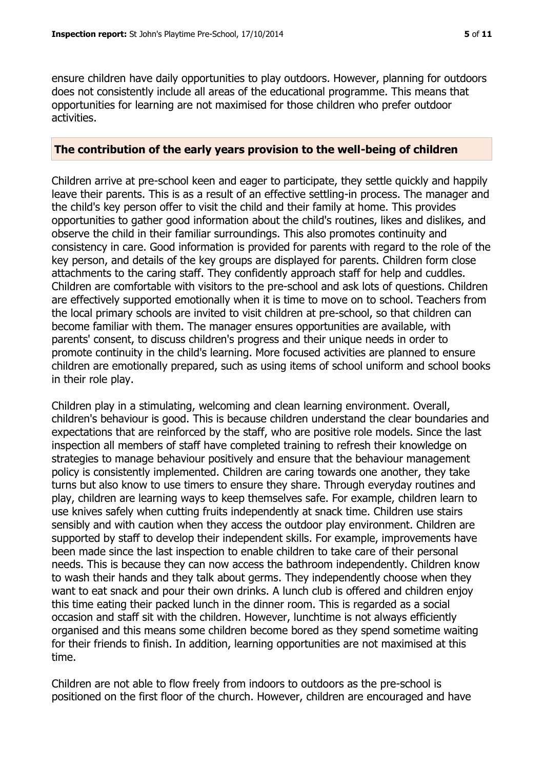ensure children have daily opportunities to play outdoors. However, planning for outdoors does not consistently include all areas of the educational programme. This means that opportunities for learning are not maximised for those children who prefer outdoor activities.

#### **The contribution of the early years provision to the well-being of children**

Children arrive at pre-school keen and eager to participate, they settle quickly and happily leave their parents. This is as a result of an effective settling-in process. The manager and the child's key person offer to visit the child and their family at home. This provides opportunities to gather good information about the child's routines, likes and dislikes, and observe the child in their familiar surroundings. This also promotes continuity and consistency in care. Good information is provided for parents with regard to the role of the key person, and details of the key groups are displayed for parents. Children form close attachments to the caring staff. They confidently approach staff for help and cuddles. Children are comfortable with visitors to the pre-school and ask lots of questions. Children are effectively supported emotionally when it is time to move on to school. Teachers from the local primary schools are invited to visit children at pre-school, so that children can become familiar with them. The manager ensures opportunities are available, with parents' consent, to discuss children's progress and their unique needs in order to promote continuity in the child's learning. More focused activities are planned to ensure children are emotionally prepared, such as using items of school uniform and school books in their role play.

Children play in a stimulating, welcoming and clean learning environment. Overall, children's behaviour is good. This is because children understand the clear boundaries and expectations that are reinforced by the staff, who are positive role models. Since the last inspection all members of staff have completed training to refresh their knowledge on strategies to manage behaviour positively and ensure that the behaviour management policy is consistently implemented. Children are caring towards one another, they take turns but also know to use timers to ensure they share. Through everyday routines and play, children are learning ways to keep themselves safe. For example, children learn to use knives safely when cutting fruits independently at snack time. Children use stairs sensibly and with caution when they access the outdoor play environment. Children are supported by staff to develop their independent skills. For example, improvements have been made since the last inspection to enable children to take care of their personal needs. This is because they can now access the bathroom independently. Children know to wash their hands and they talk about germs. They independently choose when they want to eat snack and pour their own drinks. A lunch club is offered and children enjoy this time eating their packed lunch in the dinner room. This is regarded as a social occasion and staff sit with the children. However, lunchtime is not always efficiently organised and this means some children become bored as they spend sometime waiting for their friends to finish. In addition, learning opportunities are not maximised at this time.

Children are not able to flow freely from indoors to outdoors as the pre-school is positioned on the first floor of the church. However, children are encouraged and have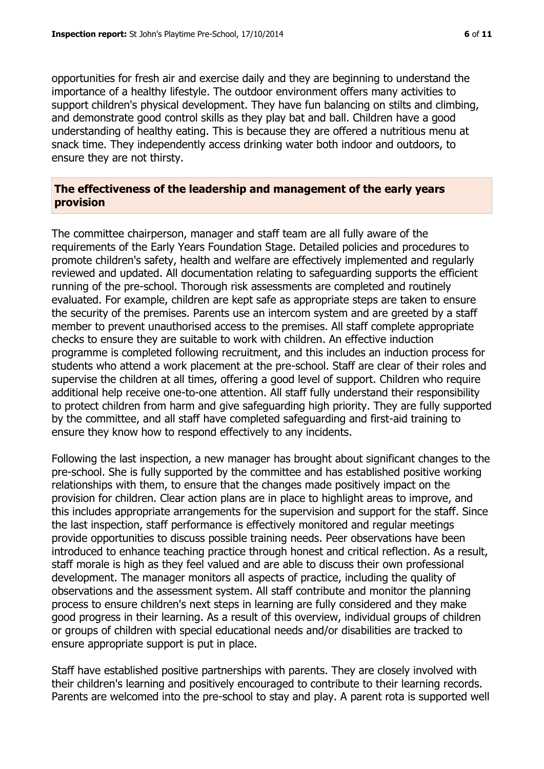opportunities for fresh air and exercise daily and they are beginning to understand the importance of a healthy lifestyle. The outdoor environment offers many activities to support children's physical development. They have fun balancing on stilts and climbing, and demonstrate good control skills as they play bat and ball. Children have a good understanding of healthy eating. This is because they are offered a nutritious menu at snack time. They independently access drinking water both indoor and outdoors, to ensure they are not thirsty.

#### **The effectiveness of the leadership and management of the early years provision**

The committee chairperson, manager and staff team are all fully aware of the requirements of the Early Years Foundation Stage. Detailed policies and procedures to promote children's safety, health and welfare are effectively implemented and regularly reviewed and updated. All documentation relating to safeguarding supports the efficient running of the pre-school. Thorough risk assessments are completed and routinely evaluated. For example, children are kept safe as appropriate steps are taken to ensure the security of the premises. Parents use an intercom system and are greeted by a staff member to prevent unauthorised access to the premises. All staff complete appropriate checks to ensure they are suitable to work with children. An effective induction programme is completed following recruitment, and this includes an induction process for students who attend a work placement at the pre-school. Staff are clear of their roles and supervise the children at all times, offering a good level of support. Children who require additional help receive one-to-one attention. All staff fully understand their responsibility to protect children from harm and give safeguarding high priority. They are fully supported by the committee, and all staff have completed safeguarding and first-aid training to ensure they know how to respond effectively to any incidents.

Following the last inspection, a new manager has brought about significant changes to the pre-school. She is fully supported by the committee and has established positive working relationships with them, to ensure that the changes made positively impact on the provision for children. Clear action plans are in place to highlight areas to improve, and this includes appropriate arrangements for the supervision and support for the staff. Since the last inspection, staff performance is effectively monitored and regular meetings provide opportunities to discuss possible training needs. Peer observations have been introduced to enhance teaching practice through honest and critical reflection. As a result, staff morale is high as they feel valued and are able to discuss their own professional development. The manager monitors all aspects of practice, including the quality of observations and the assessment system. All staff contribute and monitor the planning process to ensure children's next steps in learning are fully considered and they make good progress in their learning. As a result of this overview, individual groups of children or groups of children with special educational needs and/or disabilities are tracked to ensure appropriate support is put in place.

Staff have established positive partnerships with parents. They are closely involved with their children's learning and positively encouraged to contribute to their learning records. Parents are welcomed into the pre-school to stay and play. A parent rota is supported well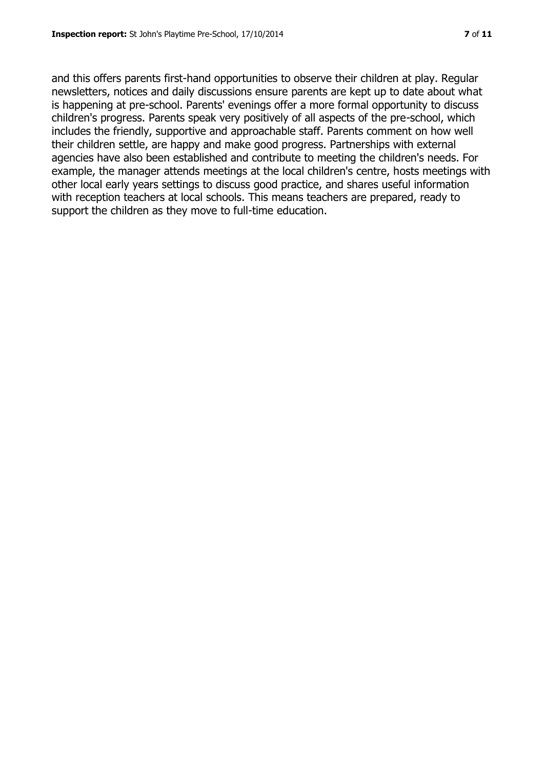and this offers parents first-hand opportunities to observe their children at play. Regular newsletters, notices and daily discussions ensure parents are kept up to date about what is happening at pre-school. Parents' evenings offer a more formal opportunity to discuss children's progress. Parents speak very positively of all aspects of the pre-school, which includes the friendly, supportive and approachable staff. Parents comment on how well their children settle, are happy and make good progress. Partnerships with external agencies have also been established and contribute to meeting the children's needs. For example, the manager attends meetings at the local children's centre, hosts meetings with other local early years settings to discuss good practice, and shares useful information with reception teachers at local schools. This means teachers are prepared, ready to support the children as they move to full-time education.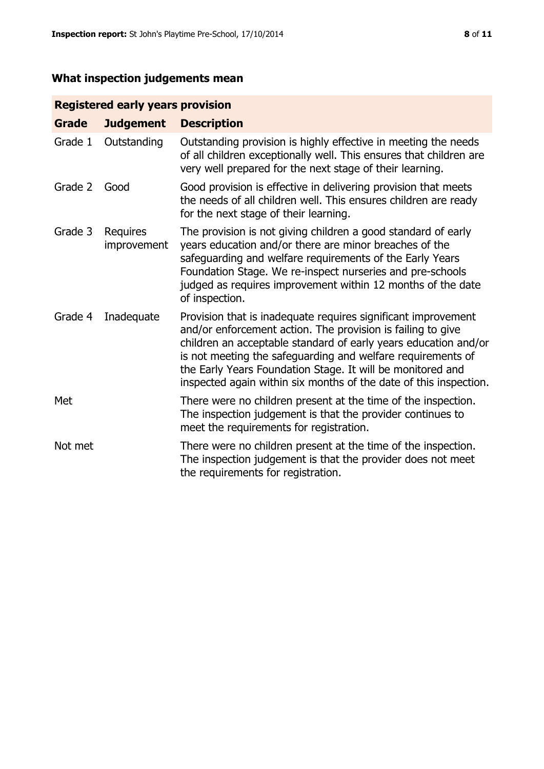# **What inspection judgements mean**

# **Registered early years provision**

| <b>Grade</b> | <b>Judgement</b>        | <b>Description</b>                                                                                                                                                                                                                                                                                                                                                                                |
|--------------|-------------------------|---------------------------------------------------------------------------------------------------------------------------------------------------------------------------------------------------------------------------------------------------------------------------------------------------------------------------------------------------------------------------------------------------|
| Grade 1      | Outstanding             | Outstanding provision is highly effective in meeting the needs<br>of all children exceptionally well. This ensures that children are<br>very well prepared for the next stage of their learning.                                                                                                                                                                                                  |
| Grade 2      | Good                    | Good provision is effective in delivering provision that meets<br>the needs of all children well. This ensures children are ready<br>for the next stage of their learning.                                                                                                                                                                                                                        |
| Grade 3      | Requires<br>improvement | The provision is not giving children a good standard of early<br>years education and/or there are minor breaches of the<br>safeguarding and welfare requirements of the Early Years<br>Foundation Stage. We re-inspect nurseries and pre-schools<br>judged as requires improvement within 12 months of the date<br>of inspection.                                                                 |
| Grade 4      | Inadequate              | Provision that is inadequate requires significant improvement<br>and/or enforcement action. The provision is failing to give<br>children an acceptable standard of early years education and/or<br>is not meeting the safeguarding and welfare requirements of<br>the Early Years Foundation Stage. It will be monitored and<br>inspected again within six months of the date of this inspection. |
| Met          |                         | There were no children present at the time of the inspection.<br>The inspection judgement is that the provider continues to<br>meet the requirements for registration.                                                                                                                                                                                                                            |
| Not met      |                         | There were no children present at the time of the inspection.<br>The inspection judgement is that the provider does not meet<br>the requirements for registration.                                                                                                                                                                                                                                |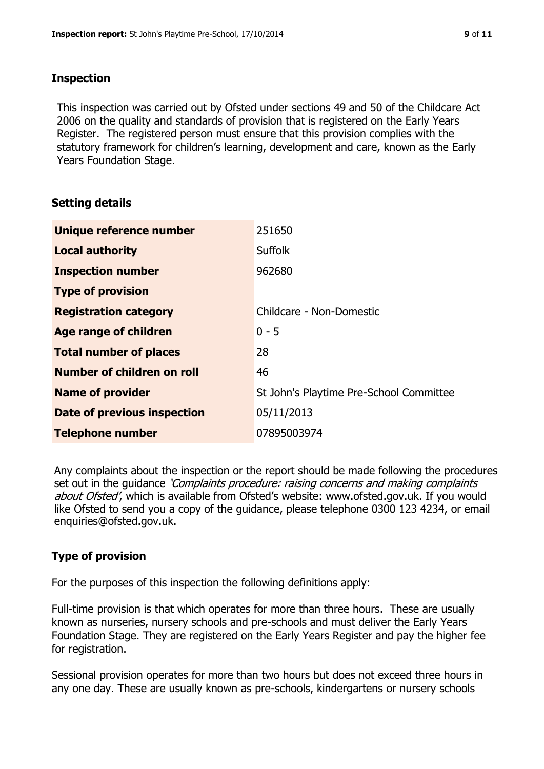#### **Inspection**

This inspection was carried out by Ofsted under sections 49 and 50 of the Childcare Act 2006 on the quality and standards of provision that is registered on the Early Years Register. The registered person must ensure that this provision complies with the statutory framework for children's learning, development and care, known as the Early Years Foundation Stage.

# **Setting details**

| Unique reference number       | 251650                                  |
|-------------------------------|-----------------------------------------|
| <b>Local authority</b>        | <b>Suffolk</b>                          |
| <b>Inspection number</b>      | 962680                                  |
| <b>Type of provision</b>      |                                         |
| <b>Registration category</b>  | Childcare - Non-Domestic                |
| Age range of children         | $0 - 5$                                 |
| <b>Total number of places</b> | 28                                      |
| Number of children on roll    | 46                                      |
| <b>Name of provider</b>       | St John's Playtime Pre-School Committee |
| Date of previous inspection   | 05/11/2013                              |
| <b>Telephone number</b>       | 07895003974                             |

Any complaints about the inspection or the report should be made following the procedures set out in the guidance *'Complaints procedure: raising concerns and making complaints* about Ofsted', which is available from Ofsted's website: www.ofsted.gov.uk. If you would like Ofsted to send you a copy of the guidance, please telephone 0300 123 4234, or email enquiries@ofsted.gov.uk.

# **Type of provision**

For the purposes of this inspection the following definitions apply:

Full-time provision is that which operates for more than three hours. These are usually known as nurseries, nursery schools and pre-schools and must deliver the Early Years Foundation Stage. They are registered on the Early Years Register and pay the higher fee for registration.

Sessional provision operates for more than two hours but does not exceed three hours in any one day. These are usually known as pre-schools, kindergartens or nursery schools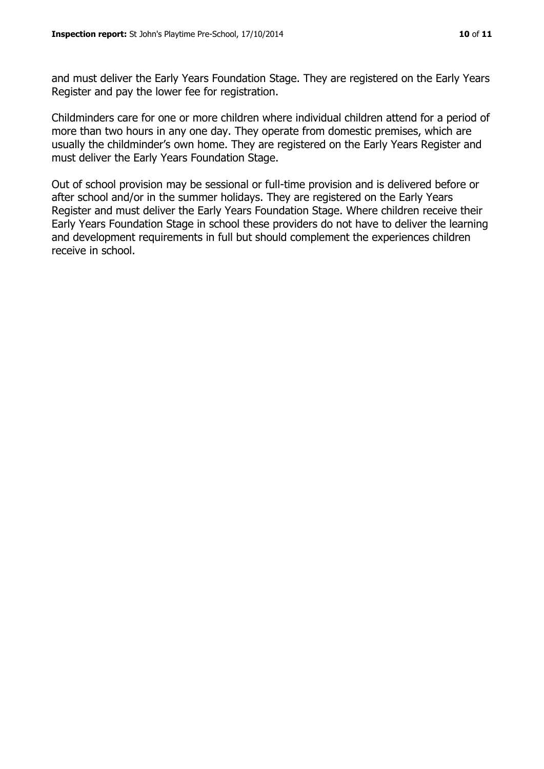and must deliver the Early Years Foundation Stage. They are registered on the Early Years Register and pay the lower fee for registration.

Childminders care for one or more children where individual children attend for a period of more than two hours in any one day. They operate from domestic premises, which are usually the childminder's own home. They are registered on the Early Years Register and must deliver the Early Years Foundation Stage.

Out of school provision may be sessional or full-time provision and is delivered before or after school and/or in the summer holidays. They are registered on the Early Years Register and must deliver the Early Years Foundation Stage. Where children receive their Early Years Foundation Stage in school these providers do not have to deliver the learning and development requirements in full but should complement the experiences children receive in school.